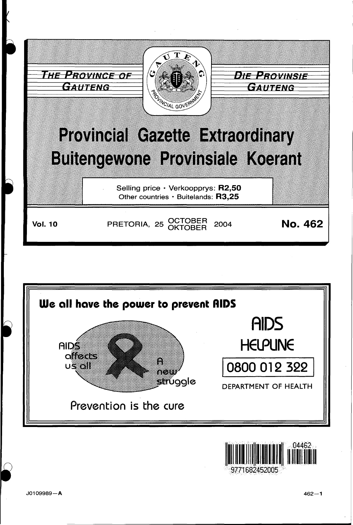



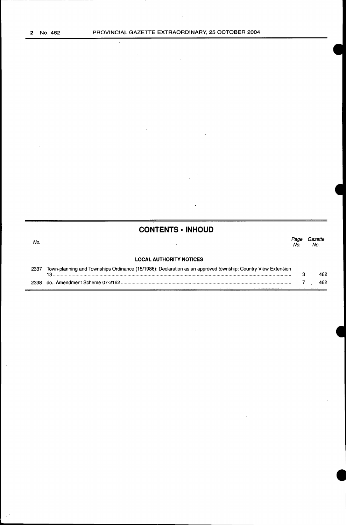$\bar{z}$ 

 $\bar{z}$  $\hat{\mathcal{L}}$  .

# **CONTENTS • INHOUD**

#### Page Gazette<br>No. No. No. No. No.  $\ddot{\phantom{a}}$ **LOCAL AUTHORITY NOTICES**  2337 Town-planning and Townships Ordinance (15/1986): Declaration as an approved township: Country View Extension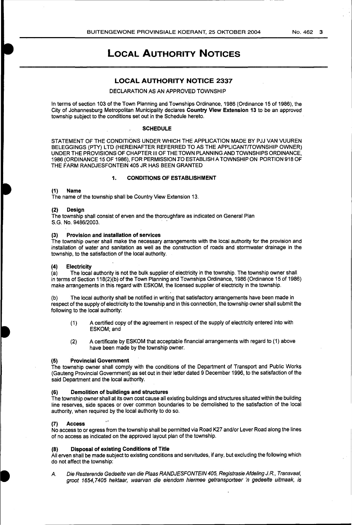# LOCAL AUTHORITY NOTICES

## LOCAL AUTHORITY NOTICE 2337

#### DECLARATION AS AN APPROVED TOWNSHIP

In terms of section 103 of the Town Planning and Townships Ordinance, 1986 (Ordinance 15 of 1986), the City of Johannesburg Metropolitan Municipality declares Country View Extension 13 to be an approved township subject to the conditions set out in the Schedule hereto.

#### **SCHEDULE**

STATEMENT OF THE CONDITIONS UNDER WHICH THE APPLICATION MADE BY PJJ VAN VUUREN BELEGGINGS (PTY) LTD (HEREINAFTER REFERRED TO AS THE APPLICANT/TOWNSHIP OWNER) UNDER THE PROVISIONS OF CHAPTER Ill OF THE TOWN PLANNING AND TOWNSHIPS ORDINANCE, 1986 (ORDINANCE 15 OF 1986), FOR PERMISSION JO ESTABLISH A TOWNSHIP ON PORTION 918 OF THE FARM RANDJESFONTEIN 405 JR HAS BEEN GRANTED

#### 1. CONDITIONS OF ESTABLISHMENT

#### (1) Name

The name of the township shall be Country View Extension 13.

#### **Design**

The township shall consist of erven and the thoroughfare as indicated on General Plan S.G. No. 9486/2003.

#### (3) Provision and installation of services

The township owner shall make the necessary arrangements with the local authority for the provision and installation of water and sanitation as well as the construction of roads and stormwater drainage in the township, to the satisfaction of the local authority.

(4) Electricity<br>(a) The loca The local authority is not the bulk supplier of electricity in the township. The township owner shall in terms of Section 118(2)(b) of the Town Planning and Townships Ordinance, 1986 (Ordinance 15 of 1986) make arrangements in this regard with ESKOM, the licensed supplier of electricity in the township.

(b) The local authority shall be notified in writing that satisfactory arrangements have been made in respect of the supply of electricity to the township and in this connection, the township owner shall submit the following to the local authority:

- (1) A certified copy of the agreement in respect of the supply of electricity entered into with ESKOM; and
- (2) A certificate by ESKOM that acceptable financial arrangements with regard to (1) above have been made by the township owner.

## (5) Provincial Government

The township owner shall comply with the conditions of the Department of Transport and Public Works (Gauteng Provincial Government) as set out in their letter dated 9 December 1996, to the satisfaction of the said Department and the local authority.

### (6) Demolition of buildings and structures

The township owner shall at its own cost cause all existing buildings and structures situated within the building line reserves, side spaces or over common boundaries to be demolished to the satisfaction of the local authority, when required by the local authority to do so.

#### (7) Access

No access to or egress from the township shall be permitted via Road K27 and/or Lever Road along the lines of no access as indicated on the approved layout plan of the township.

#### (8) Disposal of existing Conditions of Title

All erven shall be made subject to existing conditions and servitudes, if any, but excluding the following which do not affect the township:

A. Die Resterende Gedeelte van die Plaas RANDJESFONTEIN 405, Registrasie Afdeling J.R., Transvaal, groot 1654, 7405 hektaar, waarvan die eiendom hiermee getransporteer 'n gedeelte uitmaak, is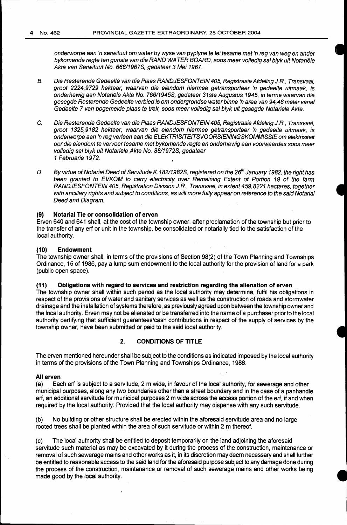onderworpe aan 'n serwituut om water by wyse van pyplyne te lei tesame met 'n reg van weg en ander bykomende regte ten gunste van die RAND WATER BOARD, soos meer volledig sal blyk uit Notariële Akte van Serwituut No. 668119678, gedateer 3 Mei 1967.

- B. Die Resterende Gedeelte van die Plaas RANDJESFONTEIN 405, Registrasie Afdeling J.R., Transvaal, groot 2224,9729 hektaar, waarvan die eiendom hiermee getransporteer 'n gedeelte uitmaak, is onderhewig aan Notariële Akte No. 766/1945S, gedateer 31ste Augustus 1945, in terme waarvan die gesegde Resterende Gedeelte verbied is om ondergrondse water binne 'n area van 94,46 meter vanaf Gedeelte 7 van bogemelde plaas te trek, soos meer volledig sal blyk uit gesegde Notariële Akte.
- C. Die Resterende Gedeelte van die Plaas RANDJESFONTEIN 405, Registrasie Afdeling J.R., Transvaal, groot 1325,9182 hektaar, waarvan die eiendom hiermee getransporteer 'n gedeelte uitmaak, is onderworpe aan 'n reg verleen aan die ELEKTRISITEITSVOORSIENINGSKOMMISSIE om efektrisiteit oor die eiendom te vervoer tesame met bykomende regte en onderhewig aan voorwaardes soos meer volledig sal blyk uit Notariële Akte No. 88/1972S, gedateer 1 Februarie 1972.
- D. By virtue of Notarial Deed of Servitude K. 182/1982S, registered on the 26<sup>th</sup> January 1982, the right has been granted to EVKOM to carry electricity over Remaining Extent of Portion 19 of the farm RANDJESFONTEIN 405, Registration Division J.R., Transvaal, in extent 459,8221 hectares, together with ancillary rights and subject to conditions, as will more fully appear on reference to the said Notarial Deed and Diagram.

## **(9) Notarial Tie or consolidation of erven**

Erven 640 and 641 shall, at the cost of the township owner, after proclamation of the township but prior to the transfer of any erf or unit in the township, be consolidated or notarially tied to the satisfaction of the local authority.

## **(10) Endowment**

The township owner shall, in terms of the provisions of Section 98(2) of the Town Planning and Townships Ordinance, 15 of 1986, pay a lump sum endowment to the local authority for the provision of land for a park (public open space).

## **(11) Obligations with regard to services and restriction regarding .the alienation of erven**

The township owner shall within such period as the local authority may determine, fulfil his obligations in respect of the provisions of water and sanitary services as well as the construction of roads and stormwater drainage and the installation of systems therefore, as previously agreed upon between the township owner and the local authority. Erven may not be alienated or be transferred into the name of a purchaser prior to the local authority certifying that sufficient guarantees/cash contributions in respect of the supply of services by the township owner, have been submitted or paid to the said local authority.

## **2. CONDITIONS OF TITLE**

The erven mentioned hereunder shall be subject to the conditions as indicated imposed by the local authority in terms of the provisions of the Town Planning and Townships Ordinance, 1986.

#### **All erven**

(a) Each erf is subject to a servitude, 2m wide, in favour of the local authority, for sewerage and other municipal purposes, along any two boundaries other than a street boundary and in the case of a panhandle erf, an additional servitude for municipal purposes 2 m wide across the access portion of the erf, if and when required by the local authority: Provided that the local authority may dispense with any such servitude.

(b) No building or other structure shall be erected within the aforesaid servitude area and no large rooted trees shall be planted within the area of such servitude or within 2 m thereof.

(c) The local authority shall be entitled to deposit temporarily on the land adjoining the aforesaid servitude such material as may be excavated by it during the process of the construction, maintenance or removal of such sewerage mains and other works as it, in its discretion may deem necessary and shall further be entitled to reasonable access to the said land for the aforesaid purpose subject to any damage done during the process of the construction, maintenance or removal of such sewerage mains and other works being made good by the local authority.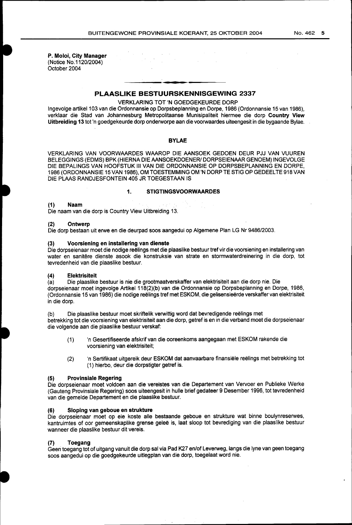P. Moloi, City Manager (Notice No:1120/2004) October 2004

## PLAASLIKE BESTUURSKENNISGEWING 2337

#### VERKLARING TOT 'N GOEDGEKEURDE DORP

Ingevolge artikel 103 van die Ordonnansie op Dorpsbeplanning en Dorpe, 1986 (Ordonnansie 15 van 1986), verklaar die Stad van Johannesburg Metropolitaanse Munisipaliteit hiermee die dorp Country View Uitbreiding 13 tot 'n goedgekeurde dorp onderworpe aan die voorwaardes uiteengesit in die bygaande Bylae.

#### BYLAE

VERKLARING VAN VOORWAARDES WAAROP DIE AANSOEK GEDOEN DEUR PJJ VAN VUUREN BELEGGINGS (EDMS) BPK (HIERNA DIE AANSOEKDOENER/ DORPSEIENAAR GENOEM) INGEVOLGE DIE BEPALINGS VAN HOOFSTUK Ill VAN DIE ORDONNANSIE OP DORPSBEPLANNING EN DORPE, 1986 (ORDONNANSIE 15 VAN 1986), OM TOESTEMMING OM 'N DORP TE STIG OP GEDEEL TE 918 VAN DIE PLAAS RANDJESFONTEIN 405 JR TOEGESTAAN IS

## 1. STIGTINGSVOORWAARDES

#### (1) Naam

Die naam van die dorp is Country View Uitbreiding 13.

#### (2) Ontwerp

Die dorp bestaan uit erwe en die deurpad soos aangedui op Algemene Plan LG Nr 9486/2003.

#### (3) Voorsiening en installering van dienste

Die dorpseienaar moet die nodige reëlings met die plaaslike bestuur tref vir die voorsiening en installering van water en sanitere dienste asook die konstruksie van strate en stormwaterdreinering in die dorp, tot tevredenheid van die plaaslike bestuur.

## (4) Elektrisiteit

(a) Die plaaslike bestuur is nie die grootmaatverskaffer van elektrisiteit aan die dorp nie. Die dorpseienaar moet ingevolge Artikel 118(2)(b) van die Ordonnansie op Dorpsbeplanning en Dorpe, 1986, (Ordonnansie 15 van 1986) die nodige reëlings tref met ESKOM, die gelisensieërde verskaffer van elektrisiteit in die dorp.

(b) Die plaaslike bestuur moet skriftelik verwittig word dat bevredigende reëlings met betrekking tot die voorsiening van elektrisiteit aan die dorp, getref is en in die verband moet die dorpseienaar die volgende aan die plaaslike bestuur verskaf:

- (1) 'n Gesertifiseerde afskrifvan die ooreenkoms aangegaan met ESKOM rakende die voorsiening van elektrisiteit;
- (2) 'n Sertifikaat uitgereik deur ESKOM dat aanvaarbare finansiële reëlings met betrekking tot ( 1) hierbo, deur die dorpstigter getref is.

#### (5) Provinsiale Regering

Die dorpseienaar moet voldoen aan die vereistes van die Departement van Vervoer en Publieke Werke (Gauteng Provinsiale Regering) soos uiteengesit in hulle brief gedateer 9 Desember 1996, tot tevredenheid van die gemelde Departement en die plaaslike bestuur.

## (6) Sloping van geboue en strukture

Die dorpseienaar moet op eie koste aile bestaande geboue en strukture wat binne boulynreserwes, kantruimtes of oor gemeenskaplike grense geleë is, laat sloop tot bevrediging van die plaaslike bestuur wanneer die plaaslike bestuur dit vereis.

### **Toegang**

Geen toegang tot of uitgang vanuit die dorp sal via Pad K27 en/of Leverweg, langs die lyne van geen toegang soos aangedui op die goedgekeurde uitlegplan van die dorp, toegelaat word nie.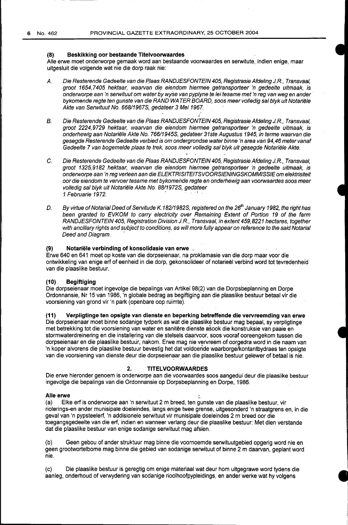#### **(8) Beskikking oor bestaande Titelvoorwaardes**

Aile erwe moet onderworpe gemaak word aan bestaande voorwaardes en serwitute, indien enige, maar uitgesluit die volgende wat nie die dorp raak nie:

- A. Die Resterende Gedeelte van die Plaas RANDJESFONTEIN 405, Registrasie Afdeling J.R., Transvaal, groot 1654, 7 405 hektaar, waarvan die eiendom hiermee getransporteer 'n gedeelte uitmaak, is onderworpe aan 'n serwituut om water by wyse van pyplyne te lei tesame met 'n reg van weg en ander bykomende regte ten gunste van die RAND WATER BOARD, soos meer volledig sal blyk uit Notariële Akte van Serwituut No. 668/1967S, gedateer 3 Mei 1967.
- B. Die Resterende Gedeelte van die Plaas RANDJESFONTEIN 405, Registrasie Afdeling J.R., Transvaal, groot 2224,9729 hektaar, waarvan die eiendom hiermee getransporteer 'n gedeelte uitmaak, is onderhewig aan Notariele Akte No. 766/1945S, gedateer 31ste Augustus 1945, in terme waarvan die gesegde Resterende Gedeelte verbied is om ondergrondse water binne 'n area van 94,46 meter vanaf Gedeelte 7 van bogemelde plaas te trek, soos meer volledig sal blyk uit gesegde Notariele Akte.
- C. Die Resterende Gedeelte van die Plaas RANDJESFONTEIN 405, Registrasie Afdeling J.R., Transvaal, groot 1325,9182 hektaar, waarvan die eiendom hiermee getransporteer 'n gedeelte uitmaak, is onderworpe aan 'n reg verleen aan die ELEKTRISITEITSVOORSIENINGSKOMMISSIE om elektrisiteit oor die eiendom te vervoer tesame met bykomende regte en onderhewig aan voorwaardes soos meer volledig sal blyk uit Notariele Akte No. 8811972S, gedateer 1 Februarie 1972.
- D. By virtue of Notarial Deed of Servitude K. 182/1982S, registered on the 26<sup>th</sup> January 1982, the right has been granted to EVKOM to carry electricity over Remaining Extent of Portion 19 of the farm RANDJESFONTEIN 405, Registration Division J.R., Transvaal, in extent 459,8221 hectares, together with ancillary rights and subject to conditions, as will more fully appear on reference to the said Notarial Deed and Diagram.

#### **(9) Notariele verbinding of konsolidasie van erwe**

Erwe 640 en 641 moet op koste van die dorpseienaar, na proklamasie van die dorp maar voor die ontwikkeling van enige erf of eenheid in die dorp, gekonsolideer of notarieël verbind word tot tevredenheid van die plaaslike bestuur.

#### **(10) Begiftiging**

Die dorpseienaar moet ingevolge die bepalings van Artikel 98(2) van die Dorpsbeplanning en Dorpe Ordonnansie, Nr 15 van 1986, 'n globale bedrag as begiftiging aan die plaaslike bestuur betaal vir die voorsiening van grond vir 'n park (openbare oop ruimte).

### **(11) Verpligtinge ten opsigte van dienste en beperking betreffende die vervreemding van erwe**

Die dorpseienaar moet binne sodanige tydperk as wat die plaaslike bestuur mag bepaal, sy verpligtinge met betrekking tot die voorsiening van water en sanitêre dienste asook die konstruksie van paaie en stormwaterdreinering en die installering van die stelsels daarvoor, soos vooraf ooreengekom tussen die dorpseienaar en die plaaslike bestuur, nakom. Erwe mag nie vervreem of oorgedra word in die naam van 'n koper alvorens die plaaslike bestuur bevestig het dat voldoeride waarborge/kontantbydraes ten opsigte van die voorsiening van dienste deur die dorpseienaar aan die plaaslike bestuur gelewer of betaal is nie.

#### **2. TITELVOORWAARDES**

Die erwe hieronder genoem is onderworpe aan die voorwaardes soos aangedui deur die plaaslike bestuur ingevolge die bepalings van die Ordonnansie op Dorpsbeplanning en Dorpe, 1986.

#### Alle erwe

(a) Elke erf is onderworpe aan 'n serwituut 2m breed, ten gunste van die plaaslike bestuur, vir riolerings-en ander munisipale doeleindes, langs enige twee grense, uitgesonderd 'n straatgrens en, in die geval van 'n pypsteelerf, 'n addisionele serwituut vir munisipale doeleindes 2 m breed oor die toegangsgedeelte van die erf, indien en wanneer verlang deur die plaaslike bestuur: Met dien verstande dat die plaaslike bestuur van enige sodanige serwituut mag afsien.

(b) Geen gebou of ander struktuur mag binne die voornoemde serwituutgebied opgerig word nie en geen grootwortelbome mag binne die gebied van sodanige serwituut of binne 2 m daarvan, geplant word nie.

(c) Die plaaslike bestuur is geregtig om enige materiaal wat deur hom uitgegrawe word tydens die aanleg, onderhoud of verwydering van sodanige rioolhoofpypleidings, en ander werke wat hy volgens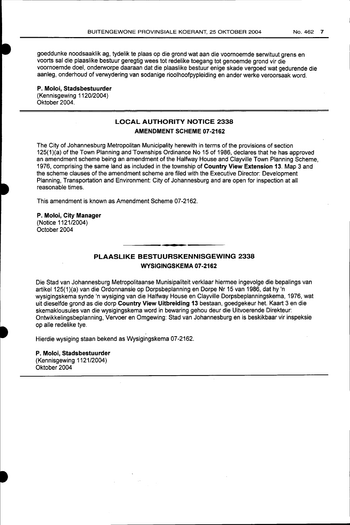goeddunke noodsaaklik ag, tydelik te plaas op die grand wat aan die voornoemde serwituut grens en voorts sal die plaaslike bestuur geregtig wees tot redelike toegang tot genoemde grand vir die voornoemde doel, onderworpe daaraan dat die plaaslike bestuur enige skade vergoed wat gedurende die aanleg, onderhoud of verwydering van sodanige rioolhoofpypleiding en ander werke veroorsaak word.

**P. Moloi, Stadsbestuurder**  (Kennisgewing 1120/2004) Oktober 2004.

# **LOCAL AUTHORITY NOTICE 2338 AMENDMENT SCHEME 07-2162**

The City of Johannesburg Metropolitan Municipality herewith in terms of the provisions of section 125(1 )(a) of the Town Planning and Townships Ordinance No 15 of 1986, declares that he has approved an amendment scheme being an amendment of the Halfway House and Clayville Town Planning Scheme, 1976, comprising the same land as included in the township of **Country View Extension 13.** Map 3 and the scheme clauses of the amendment scheme are filed with the Executive Director: Development Planning, Transportation and Environment: City of Johannesburg and are open for inspection at all reasonable times.

This amendment is known as Amendment Scheme 07-2162.

**P. Moloi, City Manager**  (Notice 1121/2004) October 2004

# **PLAASLIKE BESTUURSKENNISGEWING 2338 WYSIGINGSKEMA 07-2162**

Die Stad van Johannesburg Metropolitaanse Munisipaliteit verklaar hiermee ingevolge die bepalings van artikel 125(1 )(a) van die Ordonnansie op Dorpsbeplanning en Dorpe Nr 15 van 1986, dat hy 'n wysigingskema synde 'n wysiging van die Halfway House en Clayville Dorpsbeplanningskema, 1976, wat uit dieselfde grand as die dorp **Country View Uitbreiding 13** bestaan, goedgekeur het. Kaart 3 en die skemaklousules van die wysigingskema word in bewaring gehou deur die Uitvoerende Direkteur: Ontwikkelingsbeplanning, Vervoer en Omgewing: Stad van Johannesburg en is beskikbaar vir inspeksie op aile redelike tye.

Hierdie wysiging staan bekend as Wysigingskema 07-2162.

**P. Moloi, Stadsbestuurder**  (Kennisgewing 1121/2004) Oktober 2004